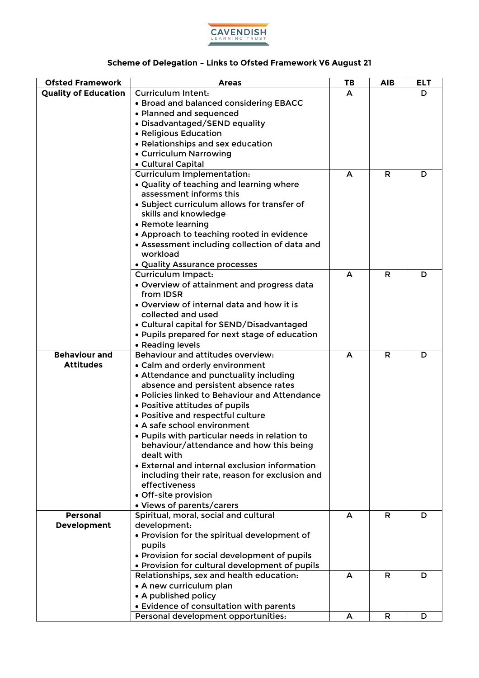

## **Scheme of Delegation – Links to Ofsted Framework V6 August 21**

| <b>Ofsted Framework</b>     | <b>Areas</b>                                                    | TB | <b>AIB</b> | <b>ELT</b> |
|-----------------------------|-----------------------------------------------------------------|----|------------|------------|
| <b>Quality of Education</b> | <b>Curriculum Intent:</b>                                       | A  |            | D          |
|                             | • Broad and balanced considering EBACC                          |    |            |            |
|                             | • Planned and sequenced                                         |    |            |            |
|                             | · Disadvantaged/SEND equality                                   |    |            |            |
|                             | • Religious Education                                           |    |            |            |
|                             | • Relationships and sex education                               |    |            |            |
|                             | • Curriculum Narrowing                                          |    |            |            |
|                             | • Cultural Capital                                              |    |            |            |
|                             | Curriculum Implementation:                                      | A  | R          | D          |
|                             | . Quality of teaching and learning where                        |    |            |            |
|                             | assessment informs this                                         |    |            |            |
|                             | • Subject curriculum allows for transfer of                     |    |            |            |
|                             | skills and knowledge                                            |    |            |            |
|                             | • Remote learning                                               |    |            |            |
|                             | • Approach to teaching rooted in evidence                       |    |            |            |
|                             | • Assessment including collection of data and<br>workload       |    |            |            |
|                             | · Quality Assurance processes                                   |    |            |            |
|                             | <b>Curriculum Impact:</b>                                       | A  | R          | D          |
|                             | • Overview of attainment and progress data                      |    |            |            |
|                             | from <b>IDSR</b>                                                |    |            |            |
|                             | • Overview of internal data and how it is                       |    |            |            |
|                             | collected and used                                              |    |            |            |
|                             | • Cultural capital for SEND/Disadvantaged                       |    |            |            |
|                             | • Pupils prepared for next stage of education                   |    |            |            |
|                             | • Reading levels                                                |    |            |            |
| <b>Behaviour and</b>        | Behaviour and attitudes overview:                               | A  | R          | D          |
| <b>Attitudes</b>            | • Calm and orderly environment                                  |    |            |            |
|                             | • Attendance and punctuality including                          |    |            |            |
|                             | absence and persistent absence rates                            |    |            |            |
|                             | • Policies linked to Behaviour and Attendance                   |    |            |            |
|                             | • Positive attitudes of pupils                                  |    |            |            |
|                             | · Positive and respectful culture                               |    |            |            |
|                             | • A safe school environment                                     |    |            |            |
|                             | · Pupils with particular needs in relation to                   |    |            |            |
|                             | behaviour/attendance and how this being                         |    |            |            |
|                             | dealt with                                                      |    |            |            |
|                             | • External and internal exclusion information                   |    |            |            |
|                             | including their rate, reason for exclusion and<br>effectiveness |    |            |            |
|                             | • Off-site provision                                            |    |            |            |
|                             | • Views of parents/carers                                       |    |            |            |
| <b>Personal</b>             | Spiritual, moral, social and cultural                           | A  | R          | D          |
| Development                 | development:                                                    |    |            |            |
|                             | . Provision for the spiritual development of                    |    |            |            |
|                             | pupils                                                          |    |            |            |
|                             | • Provision for social development of pupils                    |    |            |            |
|                             | • Provision for cultural development of pupils                  |    |            |            |
|                             | Relationships, sex and health education:                        | A  | R          | D          |
|                             | • A new curriculum plan                                         |    |            |            |
|                             | • A published policy                                            |    |            |            |
|                             | • Evidence of consultation with parents                         |    |            |            |
|                             | Personal development opportunities:                             | A  | R          | D          |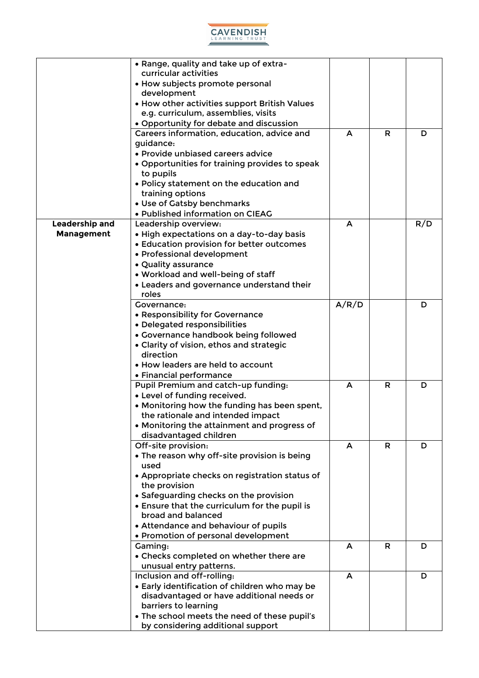

|                   | • Range, quality and take up of extra-                            |       |    |     |
|-------------------|-------------------------------------------------------------------|-------|----|-----|
|                   | curricular activities                                             |       |    |     |
|                   | • How subjects promote personal                                   |       |    |     |
|                   | development                                                       |       |    |     |
|                   | • How other activities support British Values                     |       |    |     |
|                   | e.g. curriculum, assemblies, visits                               |       |    |     |
|                   | • Opportunity for debate and discussion                           |       |    |     |
|                   | Careers information, education, advice and                        | A     | R  | D   |
|                   | guidance:                                                         |       |    |     |
|                   | • Provide unbiased careers advice                                 |       |    |     |
|                   | • Opportunities for training provides to speak                    |       |    |     |
|                   | to pupils                                                         |       |    |     |
|                   | • Policy statement on the education and                           |       |    |     |
|                   | training options                                                  |       |    |     |
|                   | • Use of Gatsby benchmarks<br>· Published information on CIEAG    |       |    |     |
| Leadership and    | Leadership overview:                                              | A     |    | R/D |
| <b>Management</b> | · High expectations on a day-to-day basis                         |       |    |     |
|                   | • Education provision for better outcomes                         |       |    |     |
|                   | • Professional development                                        |       |    |     |
|                   | • Quality assurance                                               |       |    |     |
|                   | . Workload and well-being of staff                                |       |    |     |
|                   | • Leaders and governance understand their                         |       |    |     |
|                   | roles                                                             |       |    |     |
|                   | Governance:                                                       | A/R/D |    | D   |
|                   | • Responsibility for Governance                                   |       |    |     |
|                   | • Delegated responsibilities                                      |       |    |     |
|                   | • Governance handbook being followed                              |       |    |     |
|                   | • Clarity of vision, ethos and strategic                          |       |    |     |
|                   | direction                                                         |       |    |     |
|                   | • How leaders are held to account                                 |       |    |     |
|                   | • Financial performance                                           |       |    |     |
|                   | Pupil Premium and catch-up funding:                               | A     | R  | D   |
|                   | • Level of funding received.                                      |       |    |     |
|                   | • Monitoring how the funding has been spent,                      |       |    |     |
|                   | the rationale and intended impact                                 |       |    |     |
|                   | • Monitoring the attainment and progress of                       |       |    |     |
|                   | disadvantaged children                                            |       |    |     |
|                   | Off-site provision:                                               | A     | R. | D   |
|                   | • The reason why off-site provision is being                      |       |    |     |
|                   | used                                                              |       |    |     |
|                   | • Appropriate checks on registration status of                    |       |    |     |
|                   | the provision                                                     |       |    |     |
|                   | • Safeguarding checks on the provision                            |       |    |     |
|                   | • Ensure that the curriculum for the pupil is                     |       |    |     |
|                   | broad and balanced                                                |       |    |     |
|                   | • Attendance and behaviour of pupils                              |       |    |     |
|                   | • Promotion of personal development                               |       |    |     |
|                   | Gaming:                                                           | A     | R  | D   |
|                   | • Checks completed on whether there are                           |       |    |     |
|                   | unusual entry patterns.                                           |       |    |     |
|                   | Inclusion and off-rolling:                                        | A     |    | D   |
|                   | • Early identification of children who may be                     |       |    |     |
|                   | disadvantaged or have additional needs or<br>barriers to learning |       |    |     |
|                   | . The school meets the need of these pupil's                      |       |    |     |
|                   | by considering additional support                                 |       |    |     |
|                   |                                                                   |       |    |     |